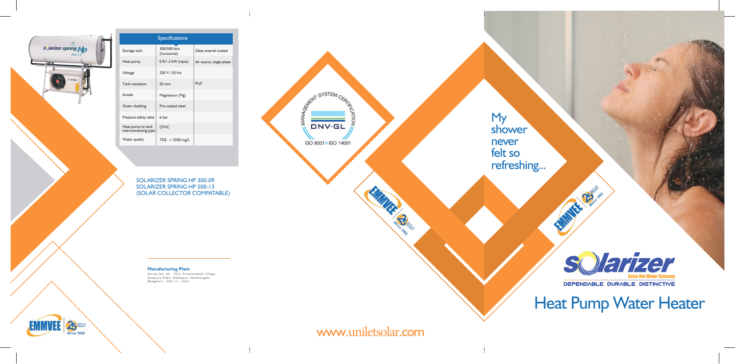www.uniletsolar.com

EUVER CONVERT



SOLARIZER SPRING HP 300-09 SOLARIZER SPRING HP 500-13 (SOLAR COLLECTOR COMPATABLE)

My shower never felt so refreshing...



DEPENDABLE DURABLE DISTINCTIVE

Heat Pump Water Heater



| sQlarizer spring Ho<br>$500 - 13$<br><b>S</b> <u>Jarizer</u> | Storage tank                  |
|--------------------------------------------------------------|-------------------------------|
|                                                              | Heat pump                     |
|                                                              | Voltage                       |
|                                                              | Tank insulatio                |
|                                                              | Anode                         |
|                                                              | Outer claddir                 |
|                                                              | Pressure safet                |
|                                                              | Heat pump to<br>interconnecti |
|                                                              | Water quality                 |
|                                                              |                               |

|                                           | <b>Specifications</b>         |                          |
|-------------------------------------------|-------------------------------|--------------------------|
| Storage tank                              | 300/500 litre<br>(horizontal) | Glass enamel coated      |
| Heat pump                                 | $0.9/1.3$ kW (input)          | Air source, single phase |
| Voltage                                   | 230 V / 50 Hz                 |                          |
| Tank insulation                           | $50 \text{ mm}$               | PUF                      |
| Anode                                     | Magnesium (Mg)                |                          |
| Outer cladding                            | Pre-coated steel              |                          |
| Pressure safety valve                     | 6 har                         |                          |
| Heat pump to tank<br>interconnecting pipe | <b>CPVC</b>                   |                          |
| Water quality                             | $TDS < 2500$ mg/L             |                          |

Survey No. 66 - 70/3, Pemmanahalli Village Sompura Hobli, Dobespet, Nelamangala Bengaluru - 562 111, India



**Manufacturing Plant**